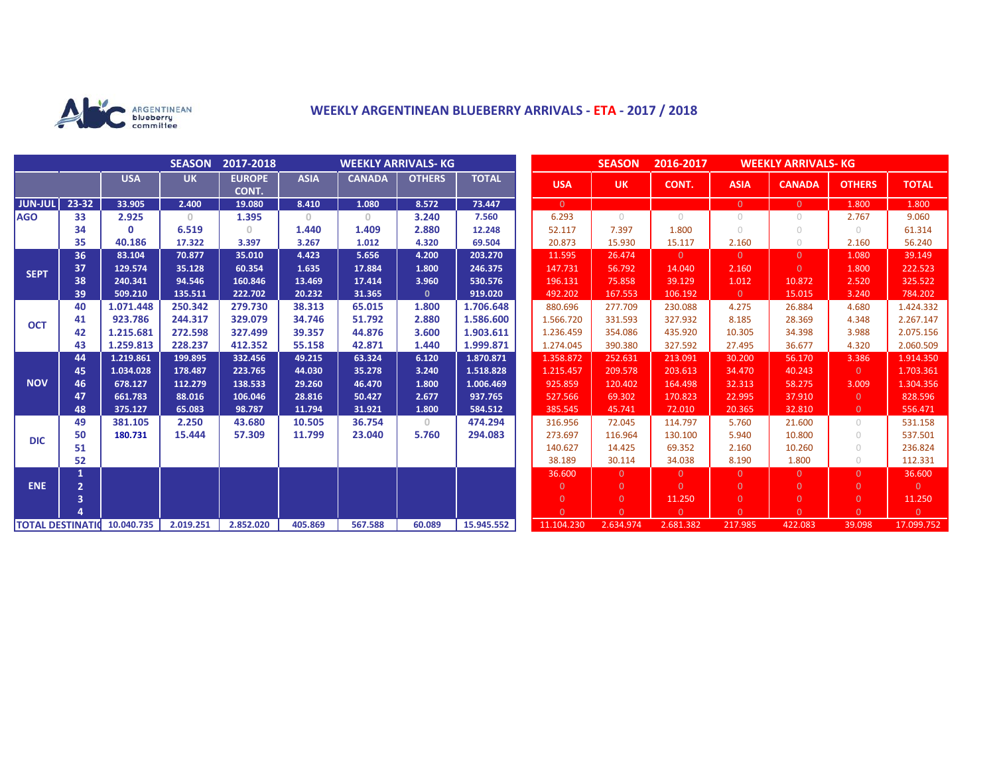

## **WEEKLY ARGENTINEAN BLUEBERRY ARRIVALS - ETA - 2017 / 2018**

|                          |                |              | <b>SEASON</b> | 2017-2018              | <b>WEEKLY ARRIVALS- KG</b>            |               |               |              |  | <b>SEASON</b><br>2016-2017 |                |            |                |                | <b>WEEKLY ARRIVALS- KG</b> |                |  |
|--------------------------|----------------|--------------|---------------|------------------------|---------------------------------------|---------------|---------------|--------------|--|----------------------------|----------------|------------|----------------|----------------|----------------------------|----------------|--|
|                          |                | <b>USA</b>   | <b>UK</b>     | <b>EUROPE</b><br>CONT. | <b>ASIA</b>                           | <b>CANADA</b> | <b>OTHERS</b> | <b>TOTAL</b> |  | <b>USA</b>                 | <b>UK</b>      | CONT.      | <b>ASIA</b>    | <b>CANADA</b>  | <b>OTHERS</b>              | <b>TOTAL</b>   |  |
| <b>JUN-JUL</b>           | $23 - 32$      | 33.905       | 2.400         | 19.080                 | 8.410                                 | 1.080         | 8.572         | 73.447       |  | $\overline{0}$             |                |            | $\overline{0}$ | $\Omega$       | 1.800                      | 1.800          |  |
| <b>AGO</b>               | 33             | 2.925        | $\mathbf{0}$  | 1.395                  | $\begin{array}{c} 0 \\ 0 \end{array}$ | $\circ$       | 3.240         | 7.560        |  | 6.293                      | $\bigcirc$     | $\bigcirc$ | $\circ$        | 0              | 2.767                      | 9.060          |  |
|                          | 34             | $\mathbf{0}$ | 6.519         | $\Omega$               | 1.440                                 | 1.409         | 2.880         | 12.248       |  | 52.117                     | 7.397          | 1.800      | $\bigcirc$     | $\bigcirc$     | $\bigcirc$                 | 61.314         |  |
|                          | 35             | 40.186       | 17.322        | 3.397                  | 3.267                                 | 1.012         | 4.320         | 69.504       |  | 20.873                     | 15.930         | 15.117     | 2.160          | $\bigcirc$     | 2.160                      | 56.240         |  |
| <b>SEPT</b>              | 36             | 83.104       | 70.877        | 35.010                 | 4.423                                 | 5.656         | 4.200         | 203.270      |  | 11.595                     | 26.474         | $\Omega$   | $\overline{0}$ | $\Omega$       | 1.080                      | 39.149         |  |
|                          | 37             | 129.574      | 35.128        | 60.354                 | 1.635                                 | 17.884        | 1.800         | 246.375      |  | 147.731                    | 56.792         | 14.040     | 2.160          | $\Omega$       | 1.800                      | 222.523        |  |
|                          | 38             | 240.341      | 94.546        | 160.846                | 13.469                                | 17.414        | 3.960         | 530.576      |  | 196.131                    | 75.858         | 39.129     | 1.012          | 10.872         | 2.520                      | 325.522        |  |
|                          | 39             | 509.210      | 135.511       | 222.702                | 20.232                                | 31.365        | $\mathbf{0}$  | 919.020      |  | 492.202                    | 167.553        | 106.192    | $\overline{0}$ | 15.015         | 3.240                      | 784.202        |  |
| <b>OCT</b>               | 40             | 1.071.448    | 250.342       | 279.730                | 38.313                                | 65.015        | 1.800         | 1.706.648    |  | 880.696                    | 277.709        | 230.088    | 4.275          | 26.884         | 4.680                      | 1.424.332      |  |
|                          | 41             | 923.786      | 244.317       | 329.079                | 34.746                                | 51.792        | 2.880         | 1.586.600    |  | 1.566.720                  | 331.593        | 327.932    | 8.185          | 28.369         | 4.348                      | 2.267.147      |  |
|                          | 42             | 1.215.681    | 272.598       | 327.499                | 39.357                                | 44.876        | 3.600         | 1.903.611    |  | 1.236.459                  | 354.086        | 435.920    | 10.305         | 34.398         | 3.988                      | 2.075.156      |  |
|                          | 43             | 1.259.813    | 228.237       | 412.352                | 55.158                                | 42.871        | 1.440         | 1.999.871    |  | 1.274.045                  | 390.380        | 327.592    | 27.495         | 36.677         | 4.320                      | 2.060.509      |  |
| <b>NOV</b>               | 44             | 1.219.861    | 199.895       | 332.456                | 49.215                                | 63.324        | 6.120         | 1.870.871    |  | 1.358.872                  | 252.631        | 213.091    | 30.200         | 56.170         | 3.386                      | 1.914.350      |  |
|                          | 45             | 1.034.028    | 178.487       | 223.765                | 44.030                                | 35.278        | 3.240         | 1.518.828    |  | 1.215.457                  | 209.578        | 203.613    | 34.470         | 40.243         | $\overline{0}$             | 1.703.361      |  |
|                          | 46             | 678.127      | 112.279       | 138.533                | 29.260                                | 46.470        | 1.800         | 1.006.469    |  | 925.859                    | 120.402        | 164.498    | 32.313         | 58.275         | 3.009                      | 1.304.356      |  |
|                          | 47             | 661.783      | 88.016        | 106.046                | 28.816                                | 50.427        | 2.677         | 937.765      |  | 527.566                    | 69.302         | 170.823    | 22.995         | 37.910         | $\overline{0}$             | 828.596        |  |
|                          | 48             | 375.127      | 65.083        | 98.787                 | 11.794                                | 31.921        | 1.800         | 584.512      |  | 385.545                    | 45.741         | 72.010     | 20.365         | 32.810         | $\overline{0}$             | 556.471        |  |
| <b>DIC</b>               | 49             | 381.105      | 2.250         | 43.680                 | 10.505                                | 36.754        | $\Omega$      | 474.294      |  | 316.956                    | 72.045         | 114.797    | 5.760          | 21.600         | $\cup$                     | 531.158        |  |
|                          | 50             | 180.731      | 15,444        | 57.309                 | 11.799                                | 23.040        | 5.760         | 294.083      |  | 273.697                    | 116.964        | 130.100    | 5.940          | 10.800         | $\bigcirc$                 | 537.501        |  |
|                          | 51             |              |               |                        |                                       |               |               |              |  | 140.627                    | 14.425         | 69.352     | 2.160          | 10.260         | $\bigcirc$                 | 236.824        |  |
|                          | 52             |              |               |                        |                                       |               |               |              |  | 38.189                     | 30.114         | 34.038     | 8.190          | 1.800          | $\bigcirc$                 | 112.331        |  |
| <b>ENE</b>               | 1              |              |               |                        |                                       |               |               |              |  | 36.600                     | $\Omega$       | $\Omega$   | $\overline{0}$ | $\Omega$       | $\Omega$                   | 36.600         |  |
|                          | $\overline{2}$ |              |               |                        |                                       |               |               |              |  | $\overline{0}$             | $\Omega$       | $\Omega$   | $\overline{0}$ | $\Omega$       | $\Omega$                   | $\overline{0}$ |  |
|                          | 3              |              |               |                        |                                       |               |               |              |  | $\overline{0}$             | $\overline{0}$ | 11.250     | $\overline{0}$ | $\overline{0}$ | $\overline{0}$             | 11.250         |  |
|                          |                |              |               |                        |                                       |               |               |              |  | $\Omega$                   | $\Omega$       | $\Omega$   | $\Omega$       | $\Omega$       | $\Omega$                   | $\overline{0}$ |  |
| <b>TOTAL DESTINATION</b> |                | 10.040.735   | 2.019.251     | 2.852.020              | 405.869                               | 567.588       | 60.089        | 15.945.552   |  | 11.104.230                 | 2.634.974      | 2.681.382  | 217.985        | 422.083        | 39.098                     | 17.099.752     |  |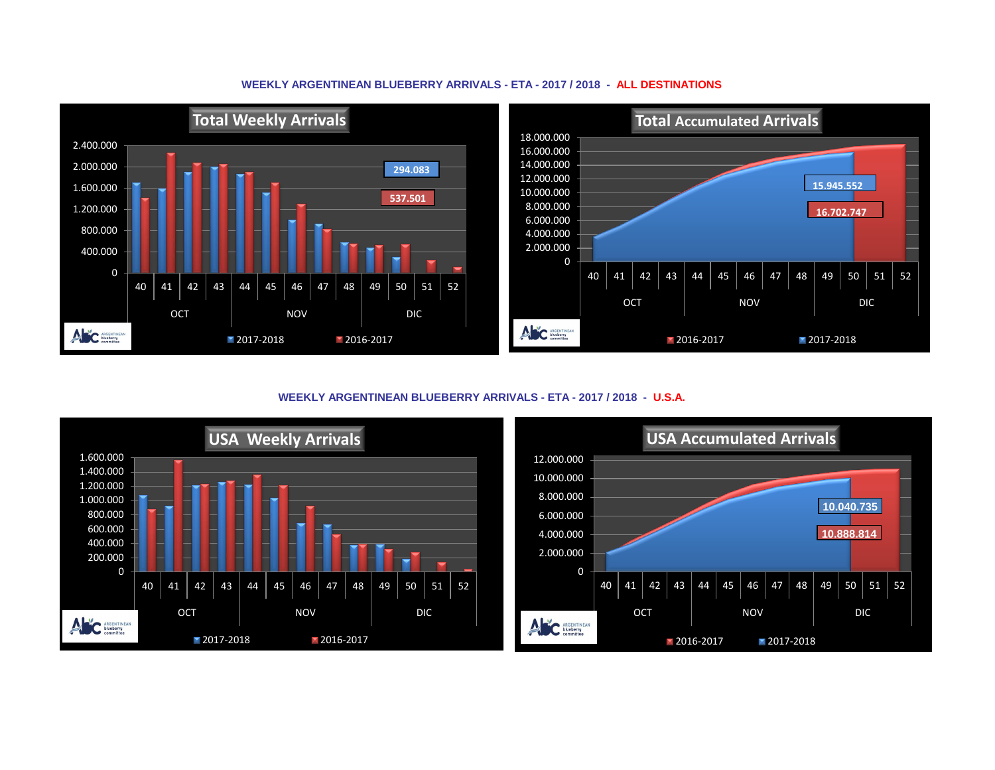## **WEEKLY ARGENTINEAN BLUEBERRY ARRIVALS - ETA - 2017 / 2018 - ALL DESTINATIONS**



**WEEKLY ARGENTINEAN BLUEBERRY ARRIVALS - ETA - 2017 / 2018 - U.S.A.**



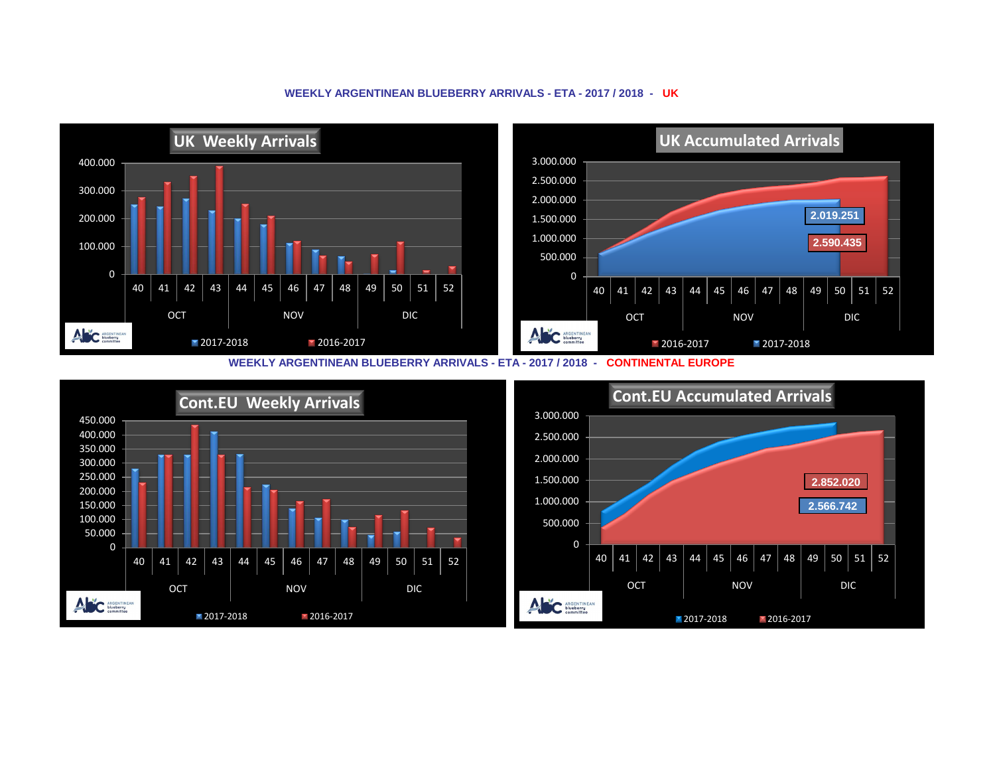## **WEEKLY ARGENTINEAN BLUEBERRY ARRIVALS - ETA - 2017 / 2018 - UK**



**WEEKLY ARGENTINEAN BLUEBERRY ARRIVALS - ETA - 2017 / 2018 - CONTINENTAL EUROPE**